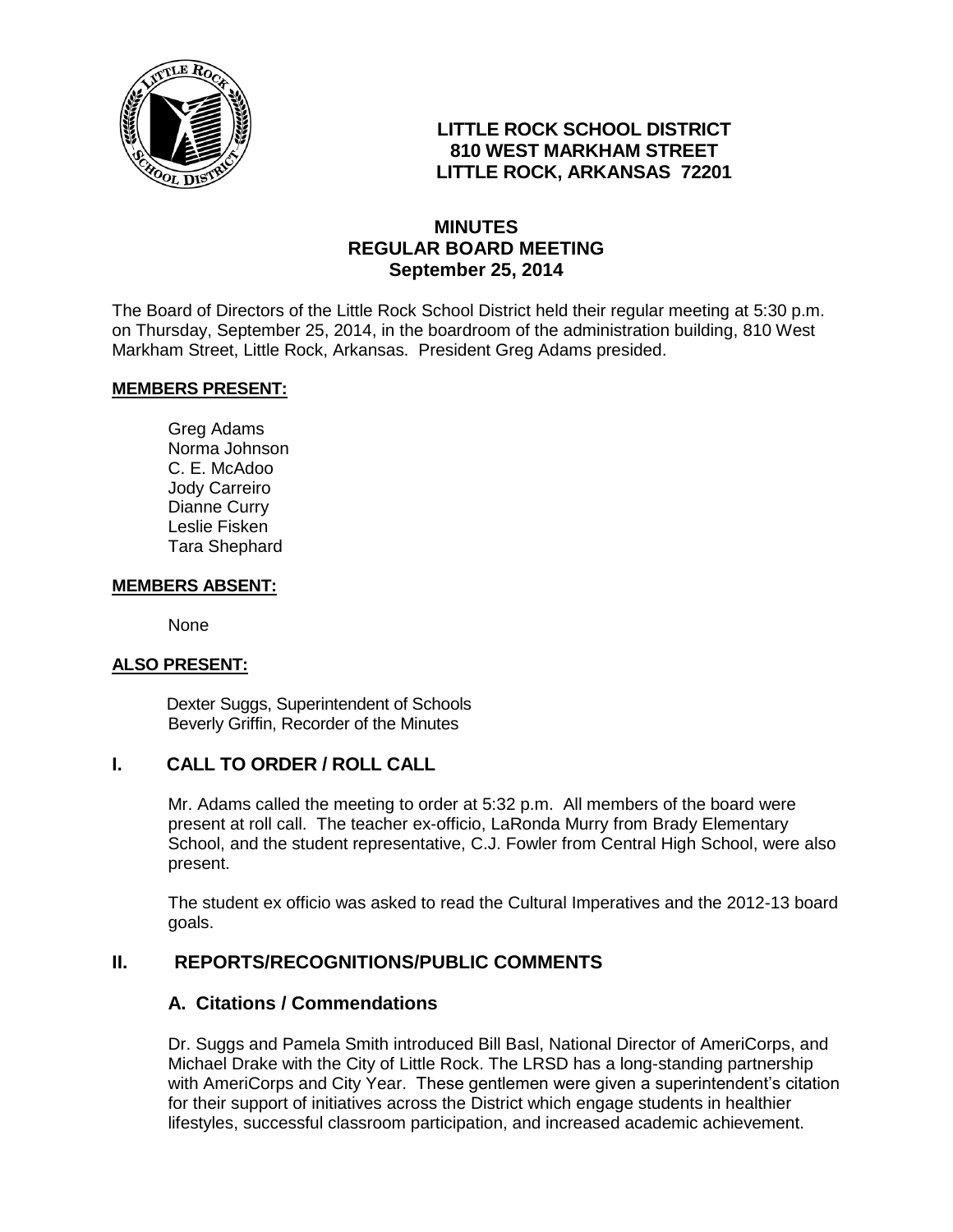

# **LITTLE ROCK SCHOOL DISTRICT 810 WEST MARKHAM STREET LITTLE ROCK, ARKANSAS 72201**

## **MINUTES REGULAR BOARD MEETING September 25, 2014**

The Board of Directors of the Little Rock School District held their regular meeting at 5:30 p.m. on Thursday, September 25, 2014, in the boardroom of the administration building, 810 West Markham Street, Little Rock, Arkansas. President Greg Adams presided.

#### **MEMBERS PRESENT:**

Greg Adams Norma Johnson C. E. McAdoo Jody Carreiro Dianne Curry Leslie Fisken Tara Shephard

#### **MEMBERS ABSENT:**

None

#### **ALSO PRESENT:**

 Dexter Suggs, Superintendent of Schools Beverly Griffin, Recorder of the Minutes

#### **I. CALL TO ORDER / ROLL CALL**

Mr. Adams called the meeting to order at 5:32 p.m. All members of the board were present at roll call. The teacher ex-officio, LaRonda Murry from Brady Elementary School, and the student representative, C.J. Fowler from Central High School, were also present.

The student ex officio was asked to read the Cultural Imperatives and the 2012-13 board goals.

#### **II. REPORTS/RECOGNITIONS/PUBLIC COMMENTS**

#### **A. Citations / Commendations**

Dr. Suggs and Pamela Smith introduced Bill Basl, National Director of AmeriCorps, and Michael Drake with the City of Little Rock. The LRSD has a long-standing partnership with AmeriCorps and City Year. These gentlemen were given a superintendent's citation for their support of initiatives across the District which engage students in healthier lifestyles, successful classroom participation, and increased academic achievement.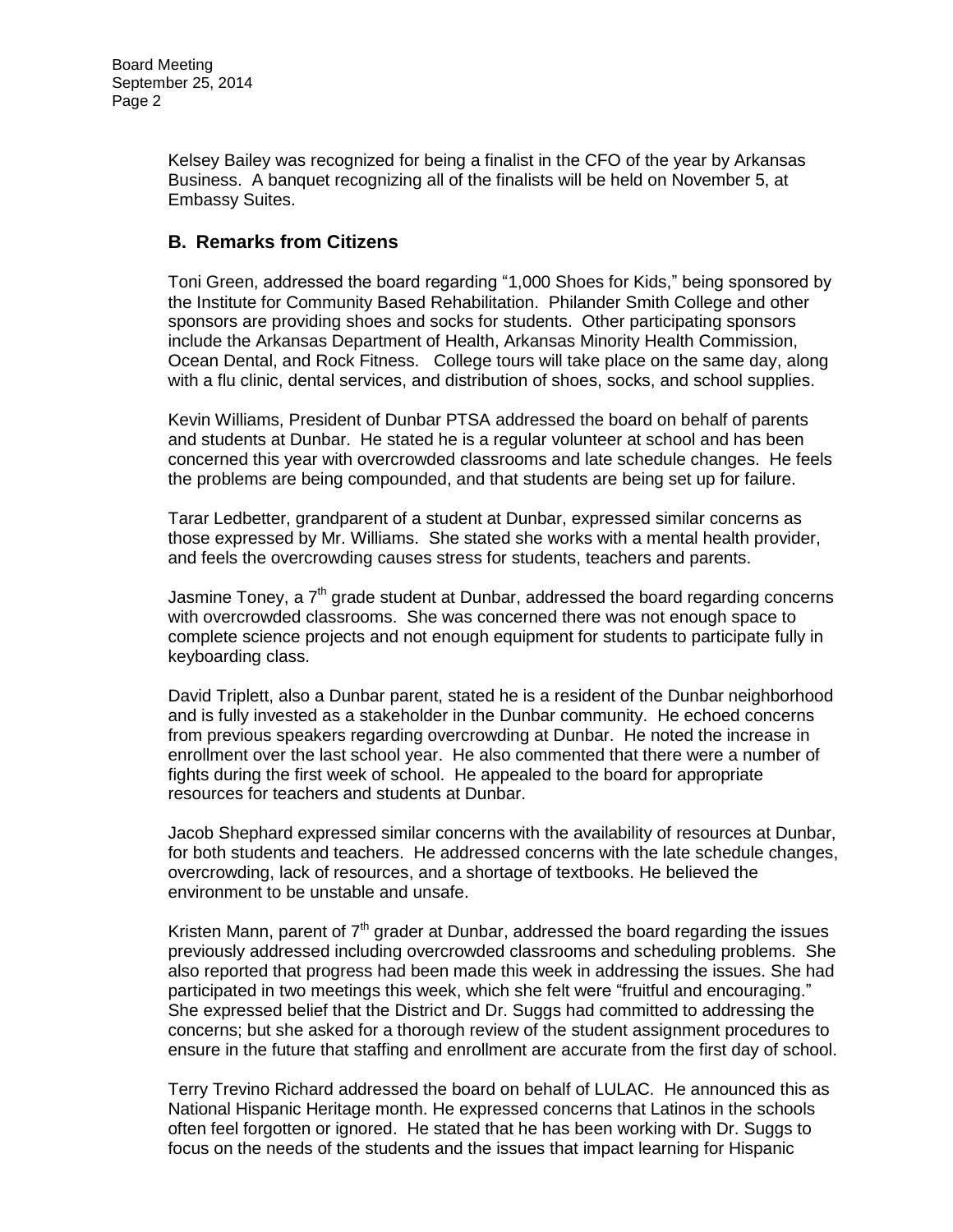Kelsey Bailey was recognized for being a finalist in the CFO of the year by Arkansas Business. A banquet recognizing all of the finalists will be held on November 5, at Embassy Suites.

# **B. Remarks from Citizens**

Toni Green, addressed the board regarding "1,000 Shoes for Kids," being sponsored by the Institute for Community Based Rehabilitation. Philander Smith College and other sponsors are providing shoes and socks for students. Other participating sponsors include the Arkansas Department of Health, Arkansas Minority Health Commission, Ocean Dental, and Rock Fitness. College tours will take place on the same day, along with a flu clinic, dental services, and distribution of shoes, socks, and school supplies.

Kevin Williams, President of Dunbar PTSA addressed the board on behalf of parents and students at Dunbar. He stated he is a regular volunteer at school and has been concerned this year with overcrowded classrooms and late schedule changes. He feels the problems are being compounded, and that students are being set up for failure.

Tarar Ledbetter, grandparent of a student at Dunbar, expressed similar concerns as those expressed by Mr. Williams. She stated she works with a mental health provider, and feels the overcrowding causes stress for students, teachers and parents.

Jasmine Toney, a  $7<sup>th</sup>$  grade student at Dunbar, addressed the board regarding concerns with overcrowded classrooms. She was concerned there was not enough space to complete science projects and not enough equipment for students to participate fully in keyboarding class.

David Triplett, also a Dunbar parent, stated he is a resident of the Dunbar neighborhood and is fully invested as a stakeholder in the Dunbar community. He echoed concerns from previous speakers regarding overcrowding at Dunbar. He noted the increase in enrollment over the last school year. He also commented that there were a number of fights during the first week of school. He appealed to the board for appropriate resources for teachers and students at Dunbar.

Jacob Shephard expressed similar concerns with the availability of resources at Dunbar, for both students and teachers. He addressed concerns with the late schedule changes, overcrowding, lack of resources, and a shortage of textbooks. He believed the environment to be unstable and unsafe.

Kristen Mann, parent of  $7<sup>th</sup>$  grader at Dunbar, addressed the board regarding the issues previously addressed including overcrowded classrooms and scheduling problems. She also reported that progress had been made this week in addressing the issues. She had participated in two meetings this week, which she felt were "fruitful and encouraging." She expressed belief that the District and Dr. Suggs had committed to addressing the concerns; but she asked for a thorough review of the student assignment procedures to ensure in the future that staffing and enrollment are accurate from the first day of school.

Terry Trevino Richard addressed the board on behalf of LULAC. He announced this as National Hispanic Heritage month. He expressed concerns that Latinos in the schools often feel forgotten or ignored. He stated that he has been working with Dr. Suggs to focus on the needs of the students and the issues that impact learning for Hispanic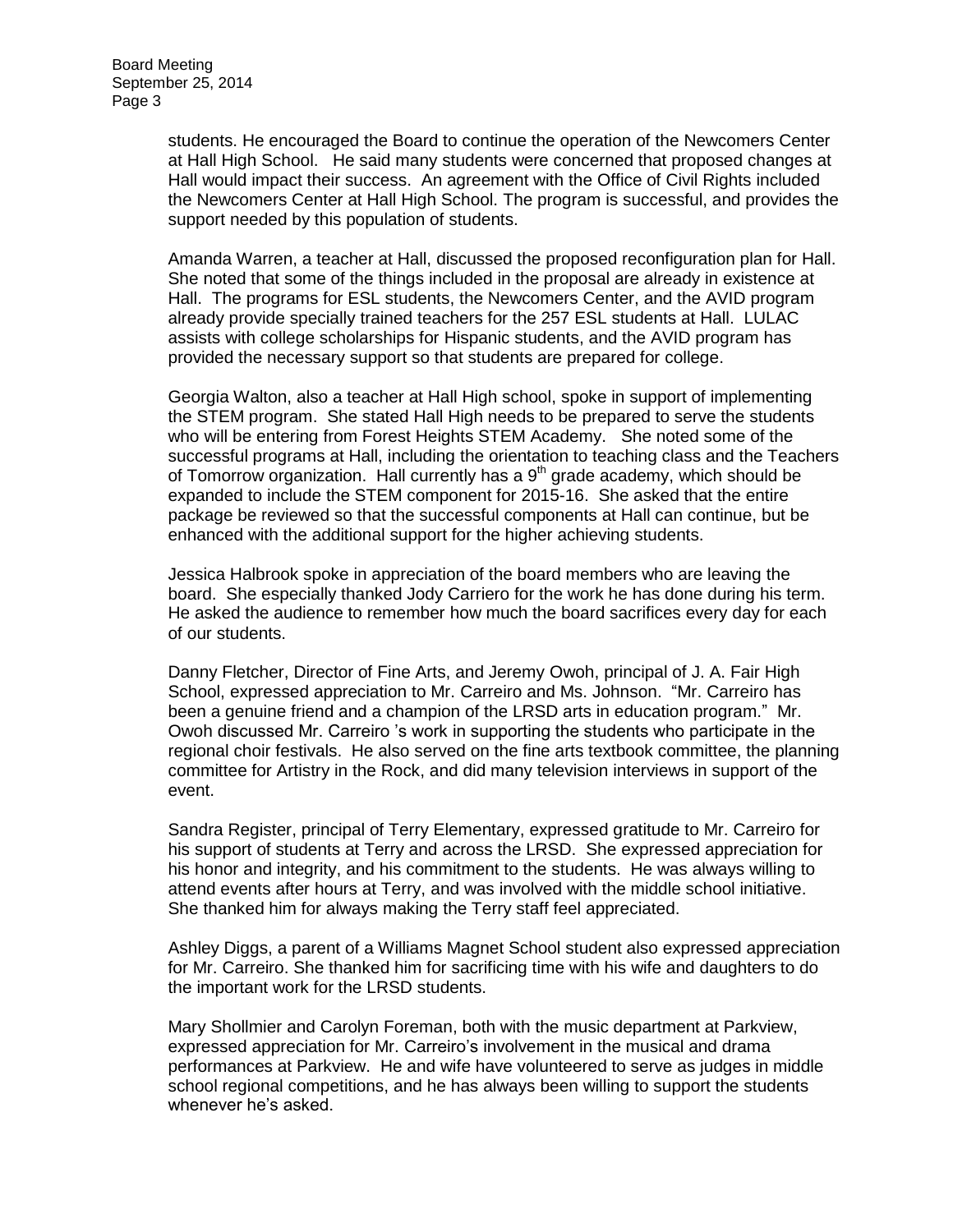students. He encouraged the Board to continue the operation of the Newcomers Center at Hall High School. He said many students were concerned that proposed changes at Hall would impact their success. An agreement with the Office of Civil Rights included the Newcomers Center at Hall High School. The program is successful, and provides the support needed by this population of students.

Amanda Warren, a teacher at Hall, discussed the proposed reconfiguration plan for Hall. She noted that some of the things included in the proposal are already in existence at Hall. The programs for ESL students, the Newcomers Center, and the AVID program already provide specially trained teachers for the 257 ESL students at Hall. LULAC assists with college scholarships for Hispanic students, and the AVID program has provided the necessary support so that students are prepared for college.

Georgia Walton, also a teacher at Hall High school, spoke in support of implementing the STEM program. She stated Hall High needs to be prepared to serve the students who will be entering from Forest Heights STEM Academy. She noted some of the successful programs at Hall, including the orientation to teaching class and the Teachers of Tomorrow organization. Hall currently has a  $9<sup>th</sup>$  grade academy, which should be expanded to include the STEM component for 2015-16. She asked that the entire package be reviewed so that the successful components at Hall can continue, but be enhanced with the additional support for the higher achieving students.

Jessica Halbrook spoke in appreciation of the board members who are leaving the board. She especially thanked Jody Carriero for the work he has done during his term. He asked the audience to remember how much the board sacrifices every day for each of our students.

Danny Fletcher, Director of Fine Arts, and Jeremy Owoh, principal of J. A. Fair High School, expressed appreciation to Mr. Carreiro and Ms. Johnson. "Mr. Carreiro has been a genuine friend and a champion of the LRSD arts in education program." Mr. Owoh discussed Mr. Carreiro 's work in supporting the students who participate in the regional choir festivals. He also served on the fine arts textbook committee, the planning committee for Artistry in the Rock, and did many television interviews in support of the event.

Sandra Register, principal of Terry Elementary, expressed gratitude to Mr. Carreiro for his support of students at Terry and across the LRSD. She expressed appreciation for his honor and integrity, and his commitment to the students. He was always willing to attend events after hours at Terry, and was involved with the middle school initiative. She thanked him for always making the Terry staff feel appreciated.

Ashley Diggs, a parent of a Williams Magnet School student also expressed appreciation for Mr. Carreiro. She thanked him for sacrificing time with his wife and daughters to do the important work for the LRSD students.

Mary Shollmier and Carolyn Foreman, both with the music department at Parkview, expressed appreciation for Mr. Carreiro's involvement in the musical and drama performances at Parkview. He and wife have volunteered to serve as judges in middle school regional competitions, and he has always been willing to support the students whenever he's asked.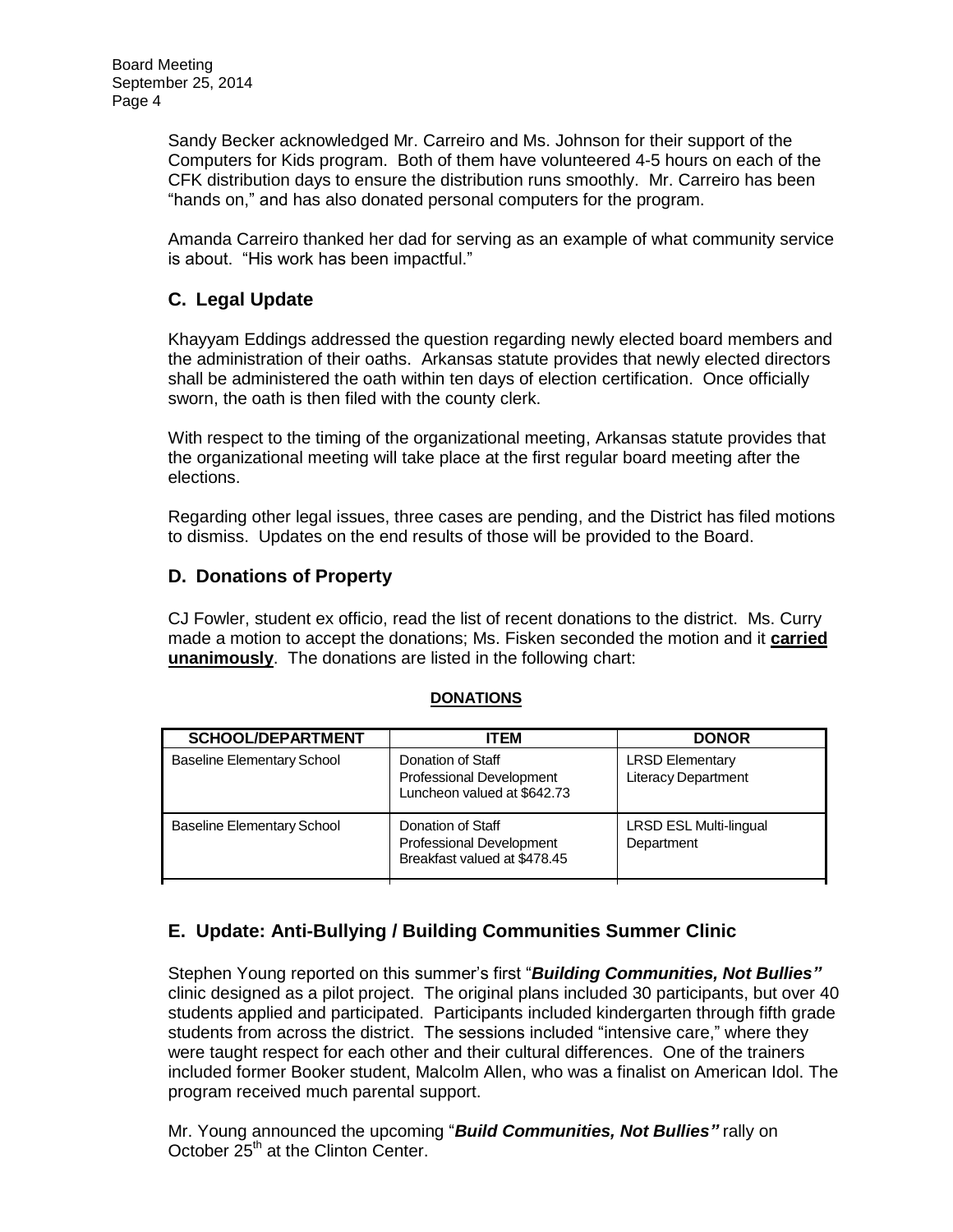Sandy Becker acknowledged Mr. Carreiro and Ms. Johnson for their support of the Computers for Kids program. Both of them have volunteered 4-5 hours on each of the CFK distribution days to ensure the distribution runs smoothly. Mr. Carreiro has been "hands on," and has also donated personal computers for the program.

Amanda Carreiro thanked her dad for serving as an example of what community service is about. "His work has been impactful."

# **C. Legal Update**

Khayyam Eddings addressed the question regarding newly elected board members and the administration of their oaths. Arkansas statute provides that newly elected directors shall be administered the oath within ten days of election certification. Once officially sworn, the oath is then filed with the county clerk.

With respect to the timing of the organizational meeting, Arkansas statute provides that the organizational meeting will take place at the first regular board meeting after the elections.

Regarding other legal issues, three cases are pending, and the District has filed motions to dismiss. Updates on the end results of those will be provided to the Board.

## **D. Donations of Property**

CJ Fowler, student ex officio, read the list of recent donations to the district. Ms. Curry made a motion to accept the donations; Ms. Fisken seconded the motion and it **carried unanimously**. The donations are listed in the following chart:

#### **DONATIONS**

| <b>SCHOOL/DEPARTMENT</b>          | ITEM                                                                          | <b>DONOR</b>                                         |
|-----------------------------------|-------------------------------------------------------------------------------|------------------------------------------------------|
| <b>Baseline Elementary School</b> | Donation of Staff<br>Professional Development<br>Luncheon valued at \$642.73  | <b>LRSD Elementary</b><br><b>Literacy Department</b> |
| <b>Baseline Elementary School</b> | Donation of Staff<br>Professional Development<br>Breakfast valued at \$478.45 | <b>LRSD ESL Multi-lingual</b><br>Department          |

# **E. Update: Anti-Bullying / Building Communities Summer Clinic**

Stephen Young reported on this summer's first "*Building Communities, Not Bullies"* clinic designed as a pilot project. The original plans included 30 participants, but over 40 students applied and participated. Participants included kindergarten through fifth grade students from across the district. The sessions included "intensive care," where they were taught respect for each other and their cultural differences. One of the trainers included former Booker student, Malcolm Allen, who was a finalist on American Idol. The program received much parental support.

Mr. Young announced the upcoming "*Build Communities, Not Bullies"* rally on October 25<sup>th</sup> at the Clinton Center.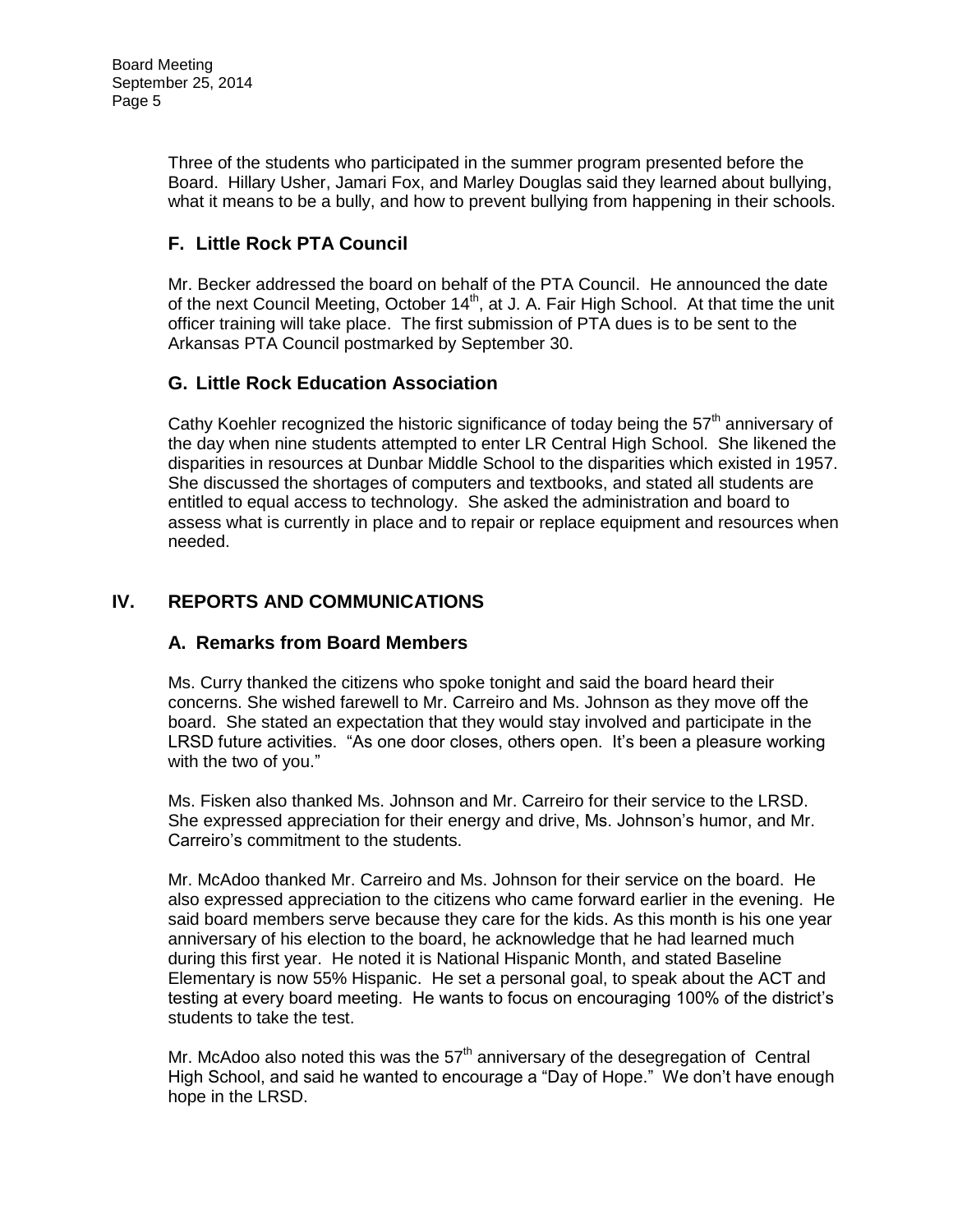Three of the students who participated in the summer program presented before the Board. Hillary Usher, Jamari Fox, and Marley Douglas said they learned about bullying, what it means to be a bully, and how to prevent bullying from happening in their schools.

# **F. Little Rock PTA Council**

Mr. Becker addressed the board on behalf of the PTA Council. He announced the date of the next Council Meeting, October 14<sup>th</sup>, at J. A. Fair High School. At that time the unit officer training will take place. The first submission of PTA dues is to be sent to the Arkansas PTA Council postmarked by September 30.

# **G. Little Rock Education Association**

Cathy Koehler recognized the historic significance of today being the  $57<sup>th</sup>$  anniversary of the day when nine students attempted to enter LR Central High School. She likened the disparities in resources at Dunbar Middle School to the disparities which existed in 1957. She discussed the shortages of computers and textbooks, and stated all students are entitled to equal access to technology. She asked the administration and board to assess what is currently in place and to repair or replace equipment and resources when needed.

# **IV. REPORTS AND COMMUNICATIONS**

# **A. Remarks from Board Members**

Ms. Curry thanked the citizens who spoke tonight and said the board heard their concerns. She wished farewell to Mr. Carreiro and Ms. Johnson as they move off the board. She stated an expectation that they would stay involved and participate in the LRSD future activities. "As one door closes, others open. It's been a pleasure working with the two of you."

Ms. Fisken also thanked Ms. Johnson and Mr. Carreiro for their service to the LRSD. She expressed appreciation for their energy and drive, Ms. Johnson's humor, and Mr. Carreiro's commitment to the students.

Mr. McAdoo thanked Mr. Carreiro and Ms. Johnson for their service on the board. He also expressed appreciation to the citizens who came forward earlier in the evening. He said board members serve because they care for the kids. As this month is his one year anniversary of his election to the board, he acknowledge that he had learned much during this first year. He noted it is National Hispanic Month, and stated Baseline Elementary is now 55% Hispanic. He set a personal goal, to speak about the ACT and testing at every board meeting. He wants to focus on encouraging 100% of the district's students to take the test.

Mr. McAdoo also noted this was the  $57<sup>th</sup>$  anniversary of the desegregation of Central High School, and said he wanted to encourage a "Day of Hope." We don't have enough hope in the LRSD.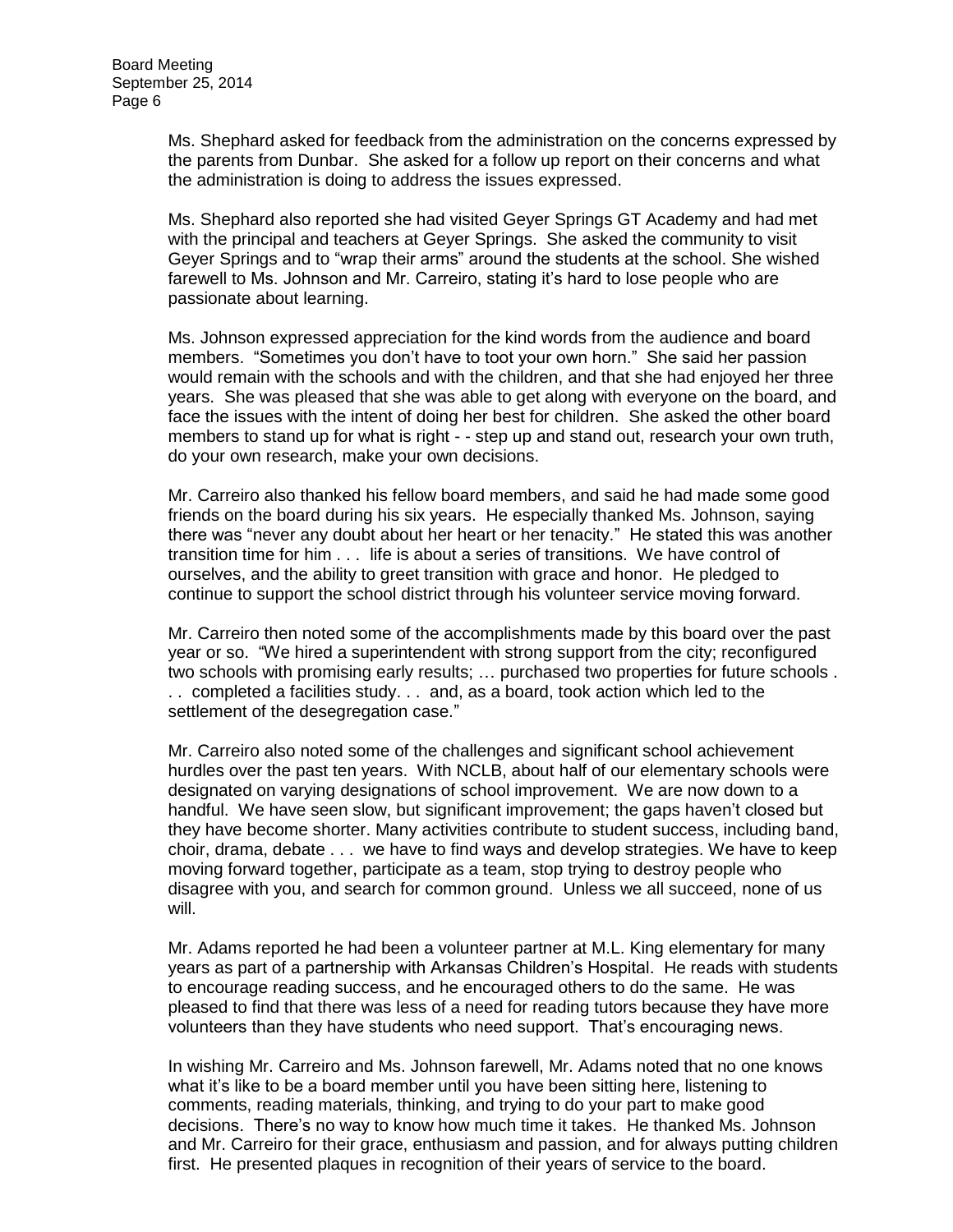Ms. Shephard asked for feedback from the administration on the concerns expressed by the parents from Dunbar. She asked for a follow up report on their concerns and what the administration is doing to address the issues expressed.

Ms. Shephard also reported she had visited Geyer Springs GT Academy and had met with the principal and teachers at Geyer Springs. She asked the community to visit Geyer Springs and to "wrap their arms" around the students at the school. She wished farewell to Ms. Johnson and Mr. Carreiro, stating it's hard to lose people who are passionate about learning.

Ms. Johnson expressed appreciation for the kind words from the audience and board members. "Sometimes you don't have to toot your own horn." She said her passion would remain with the schools and with the children, and that she had enjoyed her three years. She was pleased that she was able to get along with everyone on the board, and face the issues with the intent of doing her best for children. She asked the other board members to stand up for what is right - - step up and stand out, research your own truth, do your own research, make your own decisions.

Mr. Carreiro also thanked his fellow board members, and said he had made some good friends on the board during his six years. He especially thanked Ms. Johnson, saying there was "never any doubt about her heart or her tenacity." He stated this was another transition time for him . . . life is about a series of transitions. We have control of ourselves, and the ability to greet transition with grace and honor. He pledged to continue to support the school district through his volunteer service moving forward.

Mr. Carreiro then noted some of the accomplishments made by this board over the past year or so. "We hired a superintendent with strong support from the city; reconfigured two schools with promising early results; … purchased two properties for future schools . . . completed a facilities study. . . and, as a board, took action which led to the settlement of the desegregation case."

Mr. Carreiro also noted some of the challenges and significant school achievement hurdles over the past ten years. With NCLB, about half of our elementary schools were designated on varying designations of school improvement. We are now down to a handful. We have seen slow, but significant improvement; the gaps haven't closed but they have become shorter. Many activities contribute to student success, including band, choir, drama, debate . . . we have to find ways and develop strategies. We have to keep moving forward together, participate as a team, stop trying to destroy people who disagree with you, and search for common ground. Unless we all succeed, none of us will.

Mr. Adams reported he had been a volunteer partner at M.L. King elementary for many years as part of a partnership with Arkansas Children's Hospital. He reads with students to encourage reading success, and he encouraged others to do the same. He was pleased to find that there was less of a need for reading tutors because they have more volunteers than they have students who need support. That's encouraging news.

In wishing Mr. Carreiro and Ms. Johnson farewell, Mr. Adams noted that no one knows what it's like to be a board member until you have been sitting here, listening to comments, reading materials, thinking, and trying to do your part to make good decisions. There's no way to know how much time it takes. He thanked Ms. Johnson and Mr. Carreiro for their grace, enthusiasm and passion, and for always putting children first. He presented plaques in recognition of their years of service to the board.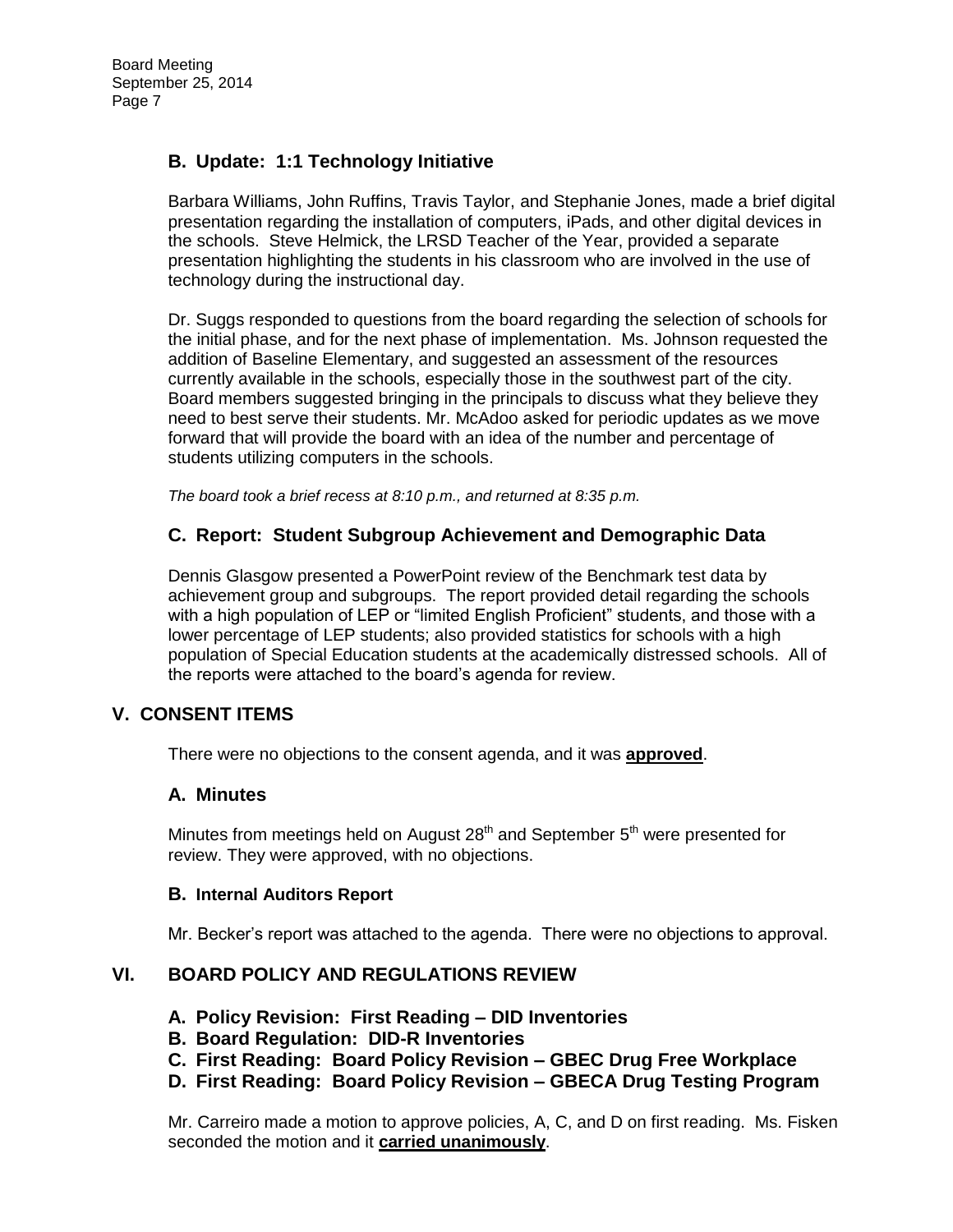# **B. Update: 1:1 Technology Initiative**

Barbara Williams, John Ruffins, Travis Taylor, and Stephanie Jones, made a brief digital presentation regarding the installation of computers, iPads, and other digital devices in the schools. Steve Helmick, the LRSD Teacher of the Year, provided a separate presentation highlighting the students in his classroom who are involved in the use of technology during the instructional day.

Dr. Suggs responded to questions from the board regarding the selection of schools for the initial phase, and for the next phase of implementation. Ms. Johnson requested the addition of Baseline Elementary, and suggested an assessment of the resources currently available in the schools, especially those in the southwest part of the city. Board members suggested bringing in the principals to discuss what they believe they need to best serve their students. Mr. McAdoo asked for periodic updates as we move forward that will provide the board with an idea of the number and percentage of students utilizing computers in the schools.

*The board took a brief recess at 8:10 p.m., and returned at 8:35 p.m.* 

## **C. Report: Student Subgroup Achievement and Demographic Data**

Dennis Glasgow presented a PowerPoint review of the Benchmark test data by achievement group and subgroups. The report provided detail regarding the schools with a high population of LEP or "limited English Proficient" students, and those with a lower percentage of LEP students; also provided statistics for schools with a high population of Special Education students at the academically distressed schools. All of the reports were attached to the board's agenda for review.

#### **V. CONSENT ITEMS**

There were no objections to the consent agenda, and it was **approved**.

#### **A. Minutes**

Minutes from meetings held on August  $28<sup>th</sup>$  and September  $5<sup>th</sup>$  were presented for review. They were approved, with no objections.

#### **B. Internal Auditors Report**

Mr. Becker's report was attached to the agenda. There were no objections to approval.

## **VI. BOARD POLICY AND REGULATIONS REVIEW**

- **A. Policy Revision: First Reading – DID Inventories**
- **B. Board Regulation: DID-R Inventories**
- **C. First Reading: Board Policy Revision – GBEC Drug Free Workplace**
- **D. First Reading: Board Policy Revision – GBECA Drug Testing Program**

Mr. Carreiro made a motion to approve policies, A, C, and D on first reading. Ms. Fisken seconded the motion and it **carried unanimously**.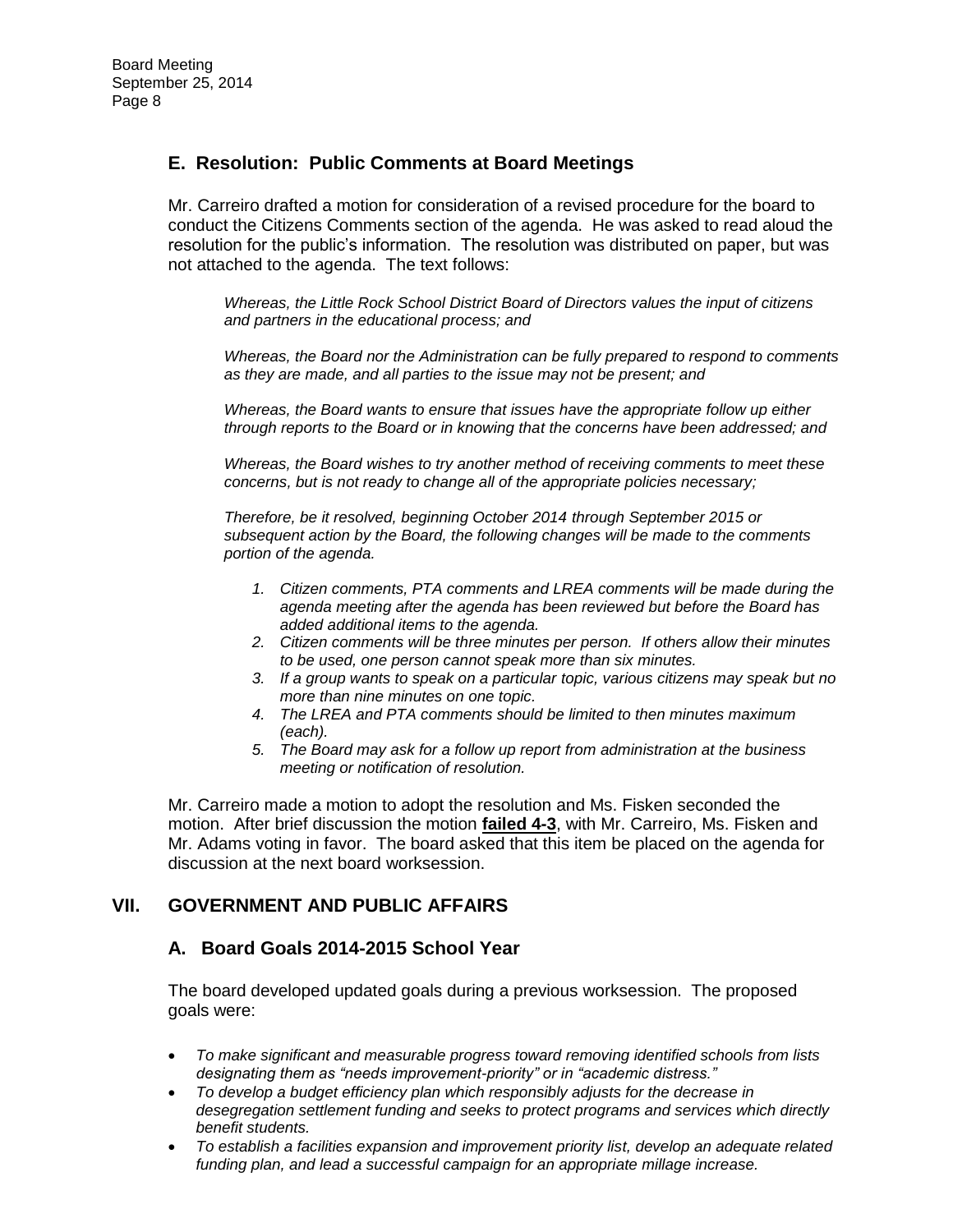## **E. Resolution: Public Comments at Board Meetings**

Mr. Carreiro drafted a motion for consideration of a revised procedure for the board to conduct the Citizens Comments section of the agenda. He was asked to read aloud the resolution for the public's information. The resolution was distributed on paper, but was not attached to the agenda. The text follows:

*Whereas, the Little Rock School District Board of Directors values the input of citizens and partners in the educational process; and*

*Whereas, the Board nor the Administration can be fully prepared to respond to comments as they are made, and all parties to the issue may not be present; and*

*Whereas, the Board wants to ensure that issues have the appropriate follow up either through reports to the Board or in knowing that the concerns have been addressed; and*

*Whereas, the Board wishes to try another method of receiving comments to meet these concerns, but is not ready to change all of the appropriate policies necessary;* 

*Therefore, be it resolved, beginning October 2014 through September 2015 or subsequent action by the Board, the following changes will be made to the comments portion of the agenda.* 

- *1. Citizen comments, PTA comments and LREA comments will be made during the agenda meeting after the agenda has been reviewed but before the Board has added additional items to the agenda.*
- *2. Citizen comments will be three minutes per person. If others allow their minutes to be used, one person cannot speak more than six minutes.*
- *3. If a group wants to speak on a particular topic, various citizens may speak but no more than nine minutes on one topic.*
- *4. The LREA and PTA comments should be limited to then minutes maximum (each).*
- *5. The Board may ask for a follow up report from administration at the business meeting or notification of resolution.*

Mr. Carreiro made a motion to adopt the resolution and Ms. Fisken seconded the motion. After brief discussion the motion **failed 4-3**, with Mr. Carreiro, Ms. Fisken and Mr. Adams voting in favor. The board asked that this item be placed on the agenda for discussion at the next board worksession.

## **VII. GOVERNMENT AND PUBLIC AFFAIRS**

## **A. Board Goals 2014-2015 School Year**

The board developed updated goals during a previous worksession. The proposed goals were:

- *To make significant and measurable progress toward removing identified schools from lists designating them as "needs improvement-priority" or in "academic distress."*
- *To develop a budget efficiency plan which responsibly adjusts for the decrease in desegregation settlement funding and seeks to protect programs and services which directly benefit students.*
- *To establish a facilities expansion and improvement priority list, develop an adequate related funding plan, and lead a successful campaign for an appropriate millage increase.*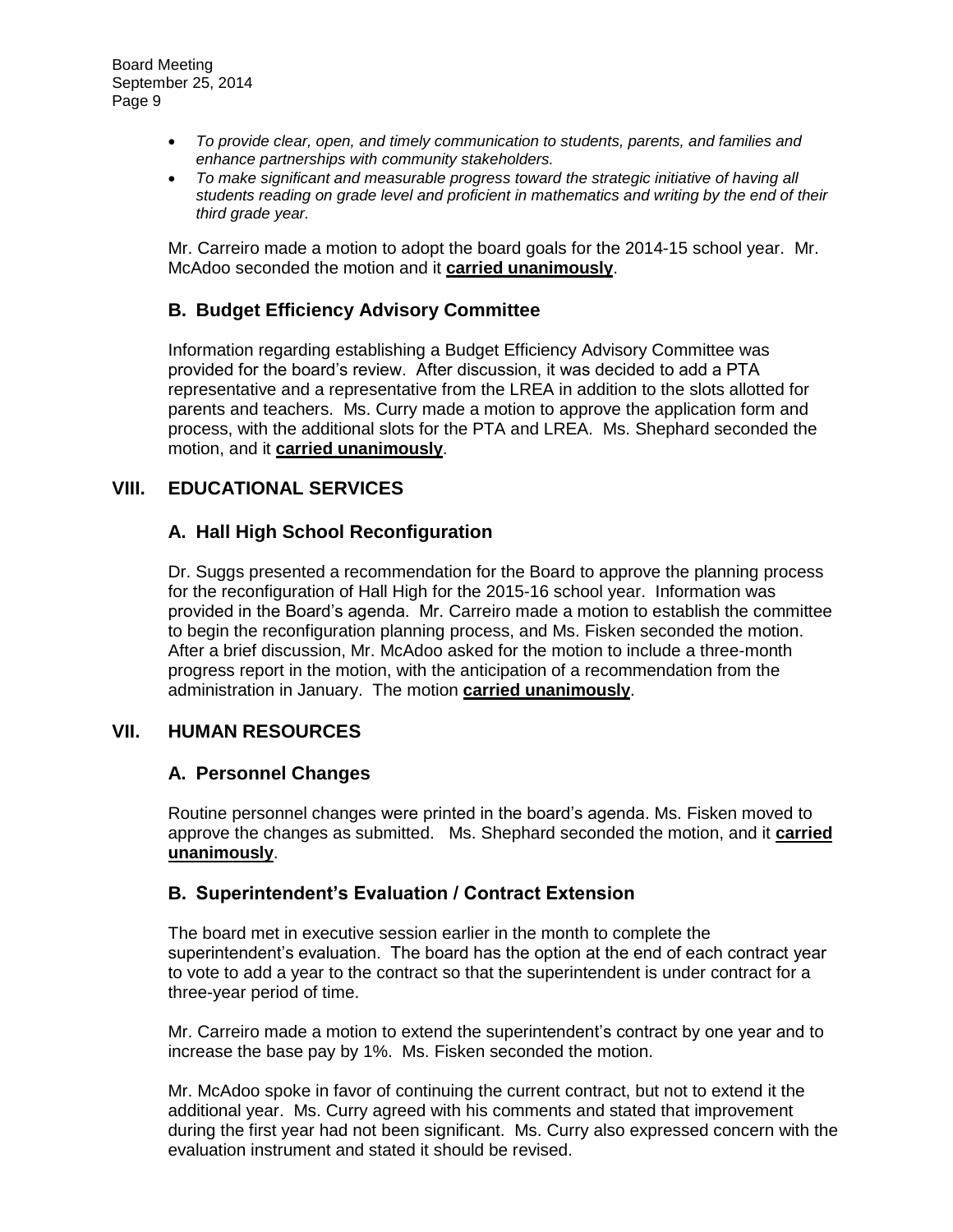- *To provide clear, open, and timely communication to students, parents, and families and enhance partnerships with community stakeholders.*
- *To make significant and measurable progress toward the strategic initiative of having all students reading on grade level and proficient in mathematics and writing by the end of their third grade year.*

Mr. Carreiro made a motion to adopt the board goals for the 2014-15 school year. Mr. McAdoo seconded the motion and it **carried unanimously**.

#### **B. Budget Efficiency Advisory Committee**

Information regarding establishing a Budget Efficiency Advisory Committee was provided for the board's review. After discussion, it was decided to add a PTA representative and a representative from the LREA in addition to the slots allotted for parents and teachers. Ms. Curry made a motion to approve the application form and process, with the additional slots for the PTA and LREA. Ms. Shephard seconded the motion, and it **carried unanimously**.

## **VIII. EDUCATIONAL SERVICES**

## **A. Hall High School Reconfiguration**

Dr. Suggs presented a recommendation for the Board to approve the planning process for the reconfiguration of Hall High for the 2015-16 school year. Information was provided in the Board's agenda. Mr. Carreiro made a motion to establish the committee to begin the reconfiguration planning process, and Ms. Fisken seconded the motion. After a brief discussion, Mr. McAdoo asked for the motion to include a three-month progress report in the motion, with the anticipation of a recommendation from the administration in January. The motion **carried unanimously**.

## **VII. HUMAN RESOURCES**

#### **A. Personnel Changes**

Routine personnel changes were printed in the board's agenda. Ms. Fisken moved to approve the changes as submitted. Ms. Shephard seconded the motion, and it **carried unanimously**.

## **B. Superintendent's Evaluation / Contract Extension**

The board met in executive session earlier in the month to complete the superintendent's evaluation. The board has the option at the end of each contract year to vote to add a year to the contract so that the superintendent is under contract for a three-year period of time.

Mr. Carreiro made a motion to extend the superintendent's contract by one year and to increase the base pay by 1%. Ms. Fisken seconded the motion.

Mr. McAdoo spoke in favor of continuing the current contract, but not to extend it the additional year. Ms. Curry agreed with his comments and stated that improvement during the first year had not been significant. Ms. Curry also expressed concern with the evaluation instrument and stated it should be revised.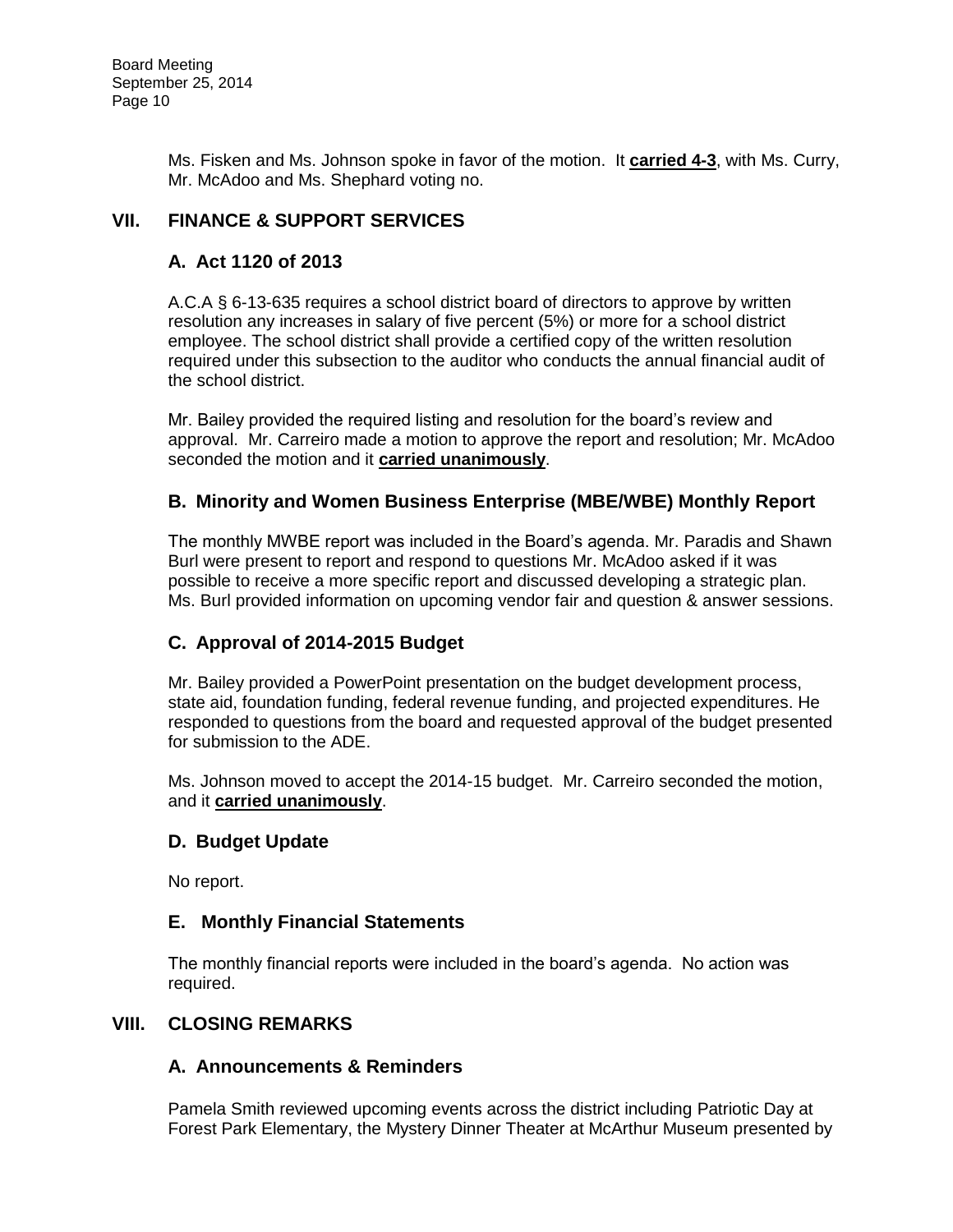Ms. Fisken and Ms. Johnson spoke in favor of the motion. It **carried 4-3**, with Ms. Curry, Mr. McAdoo and Ms. Shephard voting no.

# **VII. FINANCE & SUPPORT SERVICES**

## **A. Act 1120 of 2013**

A.C.A § 6-13-635 requires a school district board of directors to approve by written resolution any increases in salary of five percent (5%) or more for a school district employee. The school district shall provide a certified copy of the written resolution required under this subsection to the auditor who conducts the annual financial audit of the school district.

Mr. Bailey provided the required listing and resolution for the board's review and approval. Mr. Carreiro made a motion to approve the report and resolution; Mr. McAdoo seconded the motion and it **carried unanimously**.

# **B. Minority and Women Business Enterprise (MBE/WBE) Monthly Report**

The monthly MWBE report was included in the Board's agenda. Mr. Paradis and Shawn Burl were present to report and respond to questions Mr. McAdoo asked if it was possible to receive a more specific report and discussed developing a strategic plan. Ms. Burl provided information on upcoming vendor fair and question & answer sessions.

## **C. Approval of 2014-2015 Budget**

Mr. Bailey provided a PowerPoint presentation on the budget development process, state aid, foundation funding, federal revenue funding, and projected expenditures. He responded to questions from the board and requested approval of the budget presented for submission to the ADE.

Ms. Johnson moved to accept the 2014-15 budget. Mr. Carreiro seconded the motion, and it **carried unanimously**.

## **D. Budget Update**

No report.

## **E. Monthly Financial Statements**

The monthly financial reports were included in the board's agenda. No action was required.

#### **VIII. CLOSING REMARKS**

## **A. Announcements & Reminders**

Pamela Smith reviewed upcoming events across the district including Patriotic Day at Forest Park Elementary, the Mystery Dinner Theater at McArthur Museum presented by